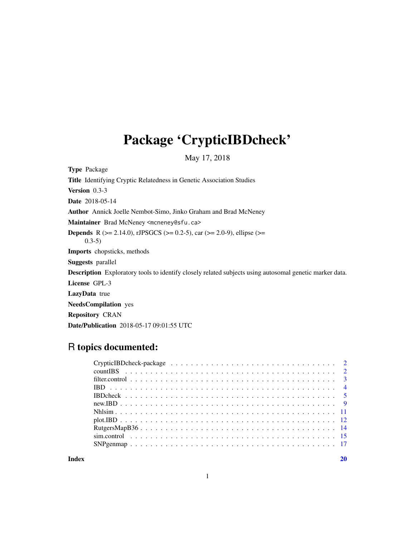# Package 'CrypticIBDcheck'

May 17, 2018

<span id="page-0-0"></span>Type Package

Title Identifying Cryptic Relatedness in Genetic Association Studies

Version 0.3-3

Date 2018-05-14

Author Annick Joelle Nembot-Simo, Jinko Graham and Brad McNeney

Maintainer Brad McNeney <mcneney@sfu.ca>

**Depends** R ( $>= 2.14.0$ ), rJPSGCS ( $>= 0.2-5$ ), car ( $>= 2.0-9$ ), ellipse ( $>=$ 0.3-5)

Imports chopsticks, methods

Suggests parallel

Description Exploratory tools to identify closely related subjects using autosomal genetic marker data.

License GPL-3

LazyData true

NeedsCompilation yes

Repository CRAN

Date/Publication 2018-05-17 09:01:55 UTC

# R topics documented:

 $\bf 1$ ndex  $\bf 20$  $\bf 20$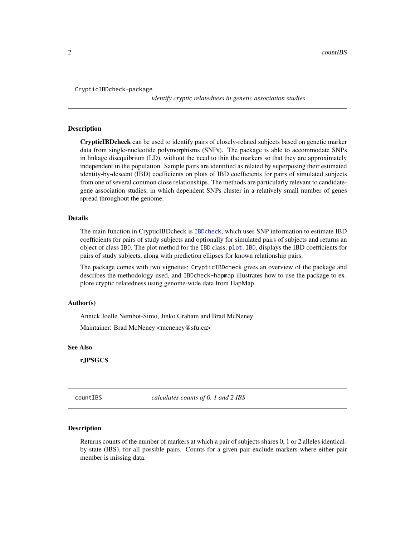```
CrypticIBDcheck-package
```
*identify cryptic relatedness in genetic association studies*

# **Description**

CrypticIBDcheck can be used to identify pairs of closely-related subjects based on genetic marker data from single-nucleotide polymorphisms (SNPs). The package is able to accommodate SNPs in linkage disequibrium (LD), without the need to thin the markers so that they are approximately independent in the population. Sample pairs are identified as related by superposing their estimated identity-by-descent (IBD) coefficients on plots of IBD coefficients for pairs of simulated subjects from one of several common close relationships. The methods are particularly relevant to candidategene association studies, in which dependent SNPs cluster in a relatively small number of genes spread throughout the genome.

# Details

The main function in CrypticIBDcheck is [IBDcheck](#page-4-1), which uses SNP information to estimate IBD coefficients for pairs of study subjects and optionally for simulated pairs of subjects and returns an object of class IBD. The plot method for the IBD class, [plot.IBD](#page-11-1), displays the IBD coefficients for pairs of study subjects, along with prediction ellipses for known relationship pairs.

The package comes with two vignettes: CrypticIBDcheck gives an overview of the package and describes the methodology used, and IBDcheck-hapmap illustrates how to use the package to explore cryptic relatedness using genome-wide data from HapMap.

# Author(s)

Annick Joelle Nembot-Simo, Jinko Graham and Brad McNeney

Maintainer: Brad McNeney <mcneney@sfu.ca>

#### See Also

rJPSGCS

countIBS *calculates counts of 0, 1 and 2 IBS*

#### **Description**

Returns counts of the number of markers at which a pair of subjects shares 0, 1 or 2 alleles identicalby-state (IBS), for all possible pairs. Counts for a given pair exclude markers where either pair member is missing data.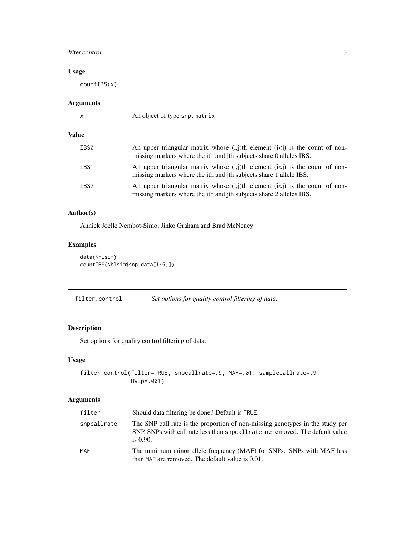# <span id="page-2-0"></span>filter.control 3

# Usage

countIBS(x)

# Arguments

|  | I<br>٦ |  |
|--|--------|--|
|  |        |  |

An object of type snp.matrix

# Value

| IBS0 | An upper triangular matrix whose $(i, j)$ th element $(i \le j)$ is the count of non-<br>missing markers where the ith and jth subjects share 0 alleles IBS. |
|------|--------------------------------------------------------------------------------------------------------------------------------------------------------------|
| IBS1 | An upper triangular matrix whose $(i, j)$ th element $(i \le j)$ is the count of non-<br>missing markers where the ith and jth subjects share 1 allele IBS.  |
| IBS2 | An upper triangular matrix whose $(i, j)$ th element $(i \le j)$ is the count of non-<br>missing markers where the ith and jth subjects share 2 alleles IBS. |

# Author(s)

Annick Joelle Nembot-Simo, Jinko Graham and Brad McNeney

# Examples

```
data(Nhlsim)
countIBS(Nhlsim$snp.data[1:5,])
```
<span id="page-2-1"></span>filter.control *Set options for quality control filtering of data.*

# Description

Set options for quality control filtering of data.

# Usage

```
filter.control(filter=TRUE, snpcallrate=.9, MAF=.01, samplecallrate=.9,
               HWEp=.001)
```

| filter      | Should data filtering be done? Default is TRUE.                                                                                                                                |
|-------------|--------------------------------------------------------------------------------------------------------------------------------------------------------------------------------|
| snpcallrate | The SNP call rate is the proportion of non-missing genotypes in the study per<br>SNP. SNPs with call rate less than snpcall rate are removed. The default value<br>is $0.90$ . |
| MAF         | The minimum minor allele frequency (MAF) for SNPs. SNPs with MAF less<br>than MAF are removed. The default value is 0.01.                                                      |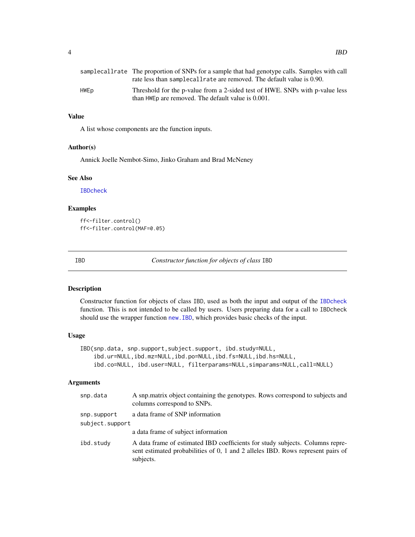<span id="page-3-0"></span>

|      | samplecallrate The proportion of SNPs for a sample that had genotype calls. Samples with call |
|------|-----------------------------------------------------------------------------------------------|
|      | rate less than sample call rate are removed. The default value is 0.90.                       |
| HWEp | Threshold for the p-value from a 2-sided test of HWE. SNPs with p-value less                  |
|      | than HWE p are removed. The default value is 0.001.                                           |

# Value

A list whose components are the function inputs.

# Author(s)

Annick Joelle Nembot-Simo, Jinko Graham and Brad McNeney

# See Also

[IBDcheck](#page-4-1)

# Examples

ff<-filter.control() ff<-filter.control(MAF=0.05)

<span id="page-3-1"></span>

IBD *Constructor function for objects of class* IBD

# Description

Constructor function for objects of class IBD, used as both the input and output of the [IBDcheck](#page-4-1) function. This is not intended to be called by users. Users preparing data for a call to IBDcheck should use the wrapper function [new.IBD](#page-8-1), which provides basic checks of the input.

# Usage

```
IBD(snp.data, snp.support,subject.support, ibd.study=NULL,
    ibd.ur=NULL,ibd.mz=NULL,ibd.po=NULL,ibd.fs=NULL,ibd.hs=NULL,
    ibd.co=NULL, ibd.user=NULL, filterparams=NULL,simparams=NULL,call=NULL)
```

| snp.data        | A snp.matrix object containing the genotypes. Rows correspond to subjects and<br>columns correspond to SNPs.                                                                  |
|-----------------|-------------------------------------------------------------------------------------------------------------------------------------------------------------------------------|
| snp.support     | a data frame of SNP information                                                                                                                                               |
| subject.support |                                                                                                                                                                               |
|                 | a data frame of subject information                                                                                                                                           |
| ibd.study       | A data frame of estimated IBD coefficients for study subjects. Columns repre-<br>sent estimated probabilities of 0, 1 and 2 alleles IBD. Rows represent pairs of<br>subjects. |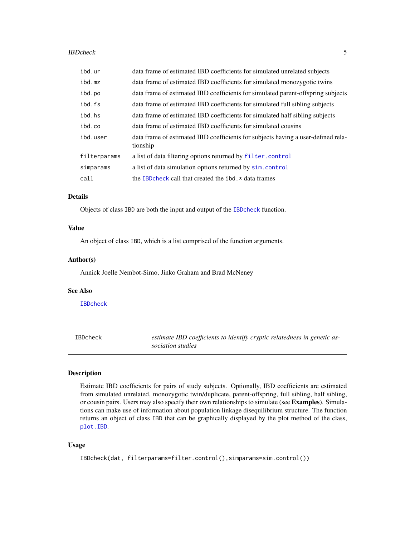#### <span id="page-4-0"></span>**IBDcheck** 5

| ibd.ur       | data frame of estimated IBD coefficients for simulated unrelated subjects                     |
|--------------|-----------------------------------------------------------------------------------------------|
| ibd.mz       | data frame of estimated IBD coefficients for simulated monozygotic twins                      |
| ibd.po       | data frame of estimated IBD coefficients for simulated parent-offspring subjects              |
| ibd.fs       | data frame of estimated IBD coefficients for simulated full sibling subjects                  |
| ibd.hs       | data frame of estimated IBD coefficients for simulated half sibling subjects                  |
| ibd.co       | data frame of estimated IBD coefficients for simulated cousins                                |
| ibd.user     | data frame of estimated IBD coefficients for subjects having a user-defined rela-<br>tionship |
| filterparams | a list of data filtering options returned by filter.control                                   |
| simparams    | a list of data simulation options returned by sim.control                                     |
| call         | the IBD check call that created the $ibd.*$ data frames                                       |

#### Details

Objects of class IBD are both the input and output of the [IBDcheck](#page-4-1) function.

# Value

An object of class IBD, which is a list comprised of the function arguments.

#### Author(s)

Annick Joelle Nembot-Simo, Jinko Graham and Brad McNeney

# See Also

[IBDcheck](#page-4-1)

<span id="page-4-1"></span>IBDcheck *estimate IBD coefficients to identify cryptic relatedness in genetic association studies*

# Description

Estimate IBD coefficients for pairs of study subjects. Optionally, IBD coefficients are estimated from simulated unrelated, monozygotic twin/duplicate, parent-offspring, full sibling, half sibling, or cousin pairs. Users may also specify their own relationships to simulate (see Examples). Simulations can make use of information about population linkage disequilibrium structure. The function returns an object of class IBD that can be graphically displayed by the plot method of the class, [plot.IBD](#page-11-1).

# Usage

```
IBDcheck(dat, filterparams=filter.control(),simparams=sim.control())
```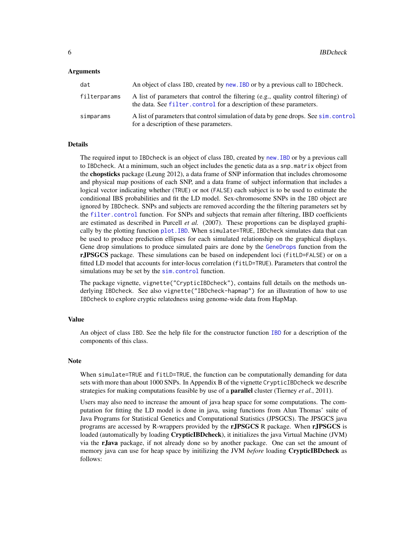#### <span id="page-5-0"></span>Arguments

| dat          | An object of class IBD, created by new. IBD or by a previous call to IBD check.                                                                              |
|--------------|--------------------------------------------------------------------------------------------------------------------------------------------------------------|
| filterparams | A list of parameters that control the filtering (e.g., quality control filtering) of<br>the data. See filter, control for a description of these parameters. |
| simparams    | A list of parameters that control simulation of data by gene drops. See sim. control<br>for a description of these parameters.                               |

#### Details

The required input to IBDcheck is an object of class IBD, created by [new.IBD](#page-8-1) or by a previous call to IBDcheck. At a minimum, such an object includes the genetic data as a snp.matrix object from the **chopsticks** package (Leung 2012), a data frame of SNP information that includes chromosome and physical map positions of each SNP, and a data frame of subject information that includes a logical vector indicating whether (TRUE) or not (FALSE) each subject is to be used to estimate the conditional IBS probabilities and fit the LD model. Sex-chromosome SNPs in the IBD object are ignored by IBDcheck. SNPs and subjects are removed according the the filtering parameters set by the [filter.control](#page-2-1) function. For SNPs and subjects that remain after filtering, IBD coefficients are estimated as described in Purcell *et al.* (2007). These proportions can be displayed graphically by the plotting function [plot.IBD](#page-11-1). When simulate=TRUE, IBDcheck simulates data that can be used to produce prediction ellipses for each simulated relationship on the graphical displays. Gene drop simulations to produce simulated pairs are done by the [GeneDrops](#page-0-0) function from the rJPSGCS package. These simulations can be based on independent loci (fitLD=FALSE) or on a fitted LD model that accounts for inter-locus correlation (fitLD=TRUE). Parameters that control the simulations may be set by the [sim.control](#page-14-1) function.

The package vignette, vignette("CrypticIBDcheck"), contains full details on the methods underlying IBDcheck. See also vignette("IBDcheck-hapmap") for an illustration of how to use IBDcheck to explore cryptic relatedness using genome-wide data from HapMap.

#### Value

An object of class IBD. See the help file for the constructor function [IBD](#page-3-1) for a description of the components of this class.

#### **Note**

When simulate=TRUE and fitLD=TRUE, the function can be computationally demanding for data sets with more than about 1000 SNPs. In Appendix B of the vignette CrypticIBDcheck we describe strategies for making computations feasible by use of a parallel cluster (Tierney *et al.*, 2011).

Users may also need to increase the amount of java heap space for some computations. The computation for fitting the LD model is done in java, using functions from Alun Thomas' suite of Java Programs for Statistical Genetics and Computational Statistics (JPSGCS). The JPSGCS java programs are accessed by R-wrappers provided by the rJPSGCS R package. When rJPSGCS is loaded (automatically by loading **CrypticIBDcheck**), it initializes the java Virtual Machine (JVM) via the rJava package, if not already done so by another package. One can set the amount of memory java can use for heap space by initilizing the JVM *before* loading CrypticIBDcheck as follows: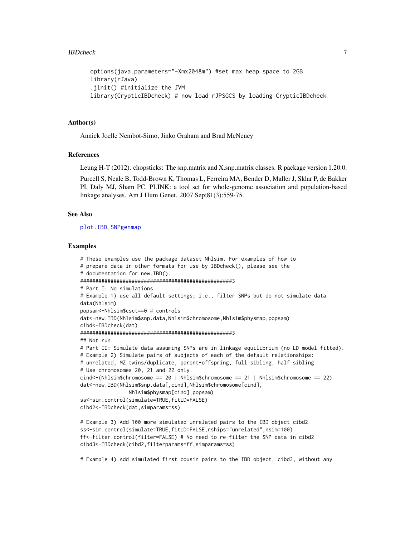```
options(java.parameters="-Xmx2048m") #set max heap space to 2GB
library(rJava)
.jinit() #initialize the JVM
library(CrypticIBDcheck) # now load rJPSGCS by loading CrypticIBDcheck
```
# Author(s)

Annick Joelle Nembot-Simo, Jinko Graham and Brad McNeney

# References

Leung H-T (2012). chopsticks: The snp.matrix and X.snp.matrix classes. R package version 1.20.0.

Purcell S, Neale B, Todd-Brown K, Thomas L, Ferreira MA, Bender D, Maller J, Sklar P, de Bakker PI, Daly MJ, Sham PC. PLINK: a tool set for whole-genome association and population-based linkage analyses. Am J Hum Genet. 2007 Sep;81(3):559-75.

#### See Also

[plot.IBD](#page-11-1), [SNPgenmap](#page-16-1)

# Examples

```
# These examples use the package dataset Nhlsim. For examples of how to
# prepare data in other formats for use by IBDcheck(), please see the
# documentation for new.IBD().
##################################################3
# Part I: No simulations
# Example 1) use all default settings; i.e., filter SNPs but do not simulate data
data(Nhlsim)
popsam<-Nhlsim$csct==0 # controls
dat<-new.IBD(Nhlsim$snp.data,Nhlsim$chromosome,Nhlsim$physmap,popsam)
cibd<-IBDcheck(dat)
##################################################3
## Not run:
# Part II: Simulate data assuming SNPs are in linkage equilibrium (no LD model fitted).
# Example 2) Simulate pairs of subjects of each of the default relationships:
# unrelated, MZ twins/duplicate, parent-offspring, full sibling, half sibling
# Use chromosomes 20, 21 and 22 only.
cind<-(Nhlsim$chromosome == 20 | Nhlsim$chromosome == 21 | Nhlsim$chromosome == 22)
dat<-new.IBD(Nhlsim$snp.data[,cind],Nhlsim$chromosome[cind],
                Nhlsim$physmap[cind],popsam)
ss<-sim.control(simulate=TRUE,fitLD=FALSE)
cibd2<-IBDcheck(dat,simparams=ss)
# Example 3) Add 100 more simulated unrelated pairs to the IBD object cibd2
ss<-sim.control(simulate=TRUE,fitLD=FALSE,rships="unrelated",nsim=100)
ff<-filter.control(filter=FALSE) # No need to re-filter the SNP data in cibd2
cibd3<-IBDcheck(cibd2,filterparams=ff,simparams=ss)
```
# Example 4) Add simulated first cousin pairs to the IBD object, cibd3, without any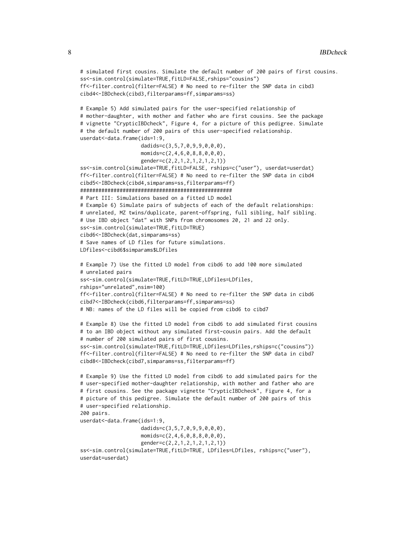```
# simulated first cousins. Simulate the default number of 200 pairs of first cousins.
ss<-sim.control(simulate=TRUE,fitLD=FALSE,rships="cousins")
ff<-filter.control(filter=FALSE) # No need to re-filter the SNP data in cibd3
cibd4<-IBDcheck(cibd3,filterparams=ff,simparams=ss)
# Example 5) Add simulated pairs for the user-specified relationship of
# mother-daughter, with mother and father who are first cousins. See the package
# vignette "CrypticIBDcheck", Figure 4, for a picture of this pedigree. Simulate
# the default number of 200 pairs of this user-specified relationship.
userdat<-data.frame(ids=1:9,
                    dadids=c(3,5,7,0,9,9,0,0,0),
                    momids=c(2,4,6,0,8,8,0,0,0),
                    gender=c(2,2,1,2,1,2,1,2,1))
ss<-sim.control(simulate=TRUE,fitLD=FALSE, rships=c("user"), userdat=userdat)
ff<-filter.control(filter=FALSE) # No need to re-filter the SNP data in cibd4
cibd5<-IBDcheck(cibd4,simparams=ss,filterparams=ff)
##################################################
# Part III: Simulations based on a fitted LD model
# Example 6) Simulate pairs of subjects of each of the default relationships:
# unrelated, MZ twins/duplicate, parent-offspring, full sibling, half sibling.
# Use IBD object "dat" with SNPs from chromosomes 20, 21 and 22 only.
ss<-sim.control(simulate=TRUE,fitLD=TRUE)
cibd6<-IBDcheck(dat,simparams=ss)
# Save names of LD files for future simulations.
LDfiles<-cibd6$simparams$LDfiles
# Example 7) Use the fitted LD model from cibd6 to add 100 more simulated
# unrelated pairs
ss<-sim.control(simulate=TRUE,fitLD=TRUE,LDfiles=LDfiles,
rships="unrelated",nsim=100)
ff<-filter.control(filter=FALSE) # No need to re-filter the SNP data in cibd6
cibd7<-IBDcheck(cibd6,filterparams=ff,simparams=ss)
# NB: names of the LD files will be copied from cibd6 to cibd7
# Example 8) Use the fitted LD model from cibd6 to add simulated first cousins
# to an IBD object without any simulated first-cousin pairs. Add the default
# number of 200 simulated pairs of first cousins.
ss<-sim.control(simulate=TRUE,fitLD=TRUE,LDfiles=LDfiles,rships=c("cousins"))
ff<-filter.control(filter=FALSE) # No need to re-filter the SNP data in cibd7
cibd8<-IBDcheck(cibd7,simparams=ss,filterparams=ff)
# Example 9) Use the fitted LD model from cibd6 to add simulated pairs for the
# user-specified mother-daughter relationship, with mother and father who are
# first cousins. See the package vignette "CrypticIBDcheck", Figure 4, for a
# picture of this pedigree. Simulate the default number of 200 pairs of this
# user-specified relationship.
200 pairs.
userdat<-data.frame(ids=1:9,
                    dadids=c(3,5,7,0,9,9,0,0,0),
                   momids=c(2,4,6,0,8,8,0,0,0),
                    gender=c(2,2,1,2,1,2,1,2,1))
ss<-sim.control(simulate=TRUE,fitLD=TRUE, LDfiles=LDfiles, rships=c("user"),
userdat=userdat)
```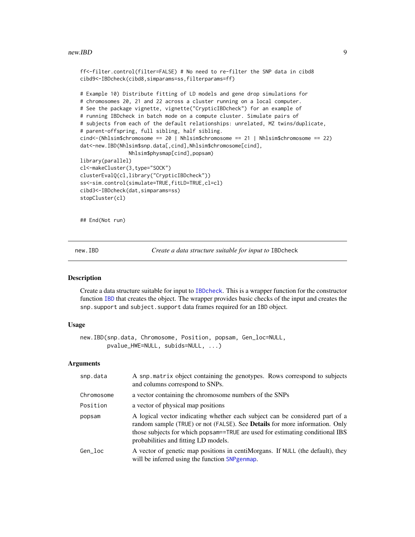#### <span id="page-8-0"></span>new.IBD 9

```
ff<-filter.control(filter=FALSE) # No need to re-filter the SNP data in cibd8
cibd9<-IBDcheck(cibd8,simparams=ss,filterparams=ff)
```

```
# Example 10) Distribute fitting of LD models and gene drop simulations for
# chromosomes 20, 21 and 22 across a cluster running on a local computer.
# See the package vignette, vignette("CrypticIBDcheck") for an example of
# running IBDcheck in batch mode on a compute cluster. Simulate pairs of
# subjects from each of the default relationships: unrelated, MZ twins/duplicate,
# parent-offspring, full sibling, half sibling.
cind<-(Nhlsim$chromosome == 20 | Nhlsim$chromosome == 21 | Nhlsim$chromosome == 22)
dat<-new.IBD(Nhlsim$snp.data[,cind],Nhlsim$chromosome[cind],
                Nhlsim$physmap[cind],popsam)
library(parallel)
cl<-makeCluster(3,type="SOCK")
clusterEvalQ(cl,library("CrypticIBDcheck"))
ss<-sim.control(simulate=TRUE,fitLD=TRUE,cl=cl)
cibd3<-IBDcheck(dat,simparams=ss)
stopCluster(cl)
```
## End(Not run)

<span id="page-8-1"></span>new.IBD *Create a data structure suitable for input to* IBDcheck

# Description

Create a data structure suitable for input to [IBDcheck](#page-4-1). This is a wrapper function for the constructor function [IBD](#page-3-1) that creates the object. The wrapper provides basic checks of the input and creates the snp.support and subject.support data frames required for an IBD object.

# Usage

new.IBD(snp.data, Chromosome, Position, popsam, Gen\_loc=NULL, pvalue\_HWE=NULL, subids=NULL, ...)

| snp.data   | A snp.matrix object containing the genotypes. Rows correspond to subjects<br>and columns correspond to SNPs.                                                                                                                                                                                |
|------------|---------------------------------------------------------------------------------------------------------------------------------------------------------------------------------------------------------------------------------------------------------------------------------------------|
| Chromosome | a vector containing the chromosome numbers of the SNPs                                                                                                                                                                                                                                      |
| Position   | a vector of physical map positions                                                                                                                                                                                                                                                          |
| popsam     | A logical vector indicating whether each subject can be considered part of a<br>random sample (TRUE) or not (FALSE). See <b>Details</b> for more information. Only<br>those subjects for which popsam==TRUE are used for estimating conditional IBS<br>probabilities and fitting LD models. |
| Gen loc    | A vector of genetic map positions in centimations. If NULL (the default), they<br>will be inferred using the function SNP genmap.                                                                                                                                                           |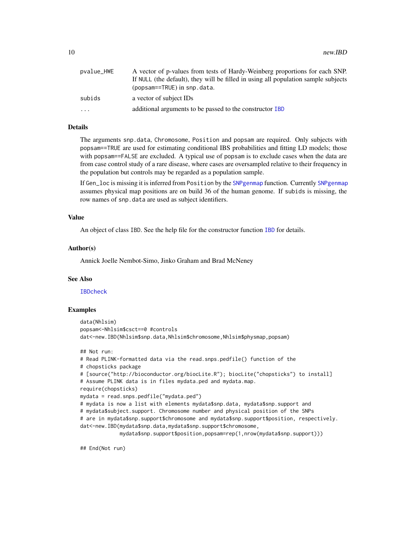<span id="page-9-0"></span>

| pvalue_HWE | A vector of p-values from tests of Hardy-Weinberg proportions for each SNP.        |
|------------|------------------------------------------------------------------------------------|
|            | If NULL (the default), they will be filled in using all population sample subjects |
|            | (popsam==TRUE) in snp.data.                                                        |
| subids     | a vector of subject IDs                                                            |
| $\cdots$   | additional arguments to be passed to the constructor IBD                           |

# Details

The arguments snp.data, Chromosome, Position and popsam are required. Only subjects with popsam==TRUE are used for estimating conditional IBS probabilities and fitting LD models; those with popsam==FALSE are excluded. A typical use of popsam is to exclude cases when the data are from case control study of a rare disease, where cases are oversampled relative to their frequency in the population but controls may be regarded as a population sample.

If Gen\_loc is missing it is inferred from Position by the [SNPgenmap](#page-16-1) function. Currently [SNPgenmap](#page-16-1) assumes physical map positions are on build 36 of the human genome. If subids is missing, the row names of snp.data are used as subject identifiers.

#### Value

An object of class IBD. See the help file for the constructor function [IBD](#page-3-1) for details.

#### Author(s)

Annick Joelle Nembot-Simo, Jinko Graham and Brad McNeney

#### See Also

[IBDcheck](#page-4-1)

# Examples

```
data(Nhlsim)
popsam<-Nhlsim$csct==0 #controls
dat<-new.IBD(Nhlsim$snp.data,Nhlsim$chromosome,Nhlsim$physmap,popsam)
## Not run:
# Read PLINK-formatted data via the read.snps.pedfile() function of the
# chopsticks package
# [source("http://bioconductor.org/biocLite.R"); biocLite("chopsticks") to install]
# Assume PLINK data is in files mydata.ped and mydata.map.
require(chopsticks)
mydata = read.snps.pedfile("mydata.ped")
# mydata is now a list with elements mydata$snp.data, mydata$snp.support and
# mydata$subject.support. Chromosome number and physical position of the SNPs
# are in mydata$snp.support$chromosome and mydata$snp.support$position, respectively.
dat<-new.IBD(mydata$snp.data,mydata$snp.support$chromosome,
             mydata$snp.support$position,popsam=rep(1,nrow(mydata$snp.support)))
```
## End(Not run)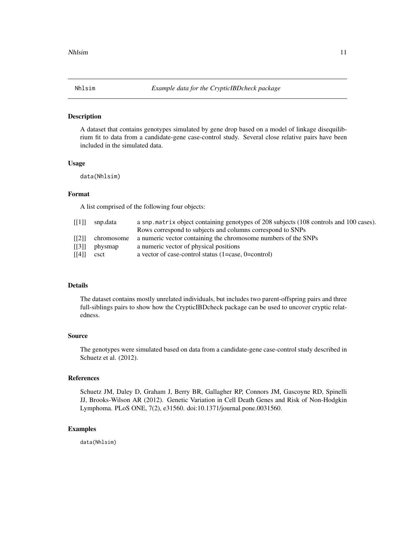<span id="page-10-0"></span>

A dataset that contains genotypes simulated by gene drop based on a model of linkage disequilibrium fit to data from a candidate-gene case-control study. Several close relative pairs have been included in the simulated data.

# Usage

data(Nhlsim)

# Format

A list comprised of the following four objects:

| [[1]] | snp.data | a snp. matrix object containing genotypes of 208 subjects (108 controls and 100 cases). |
|-------|----------|-----------------------------------------------------------------------------------------|
|       |          | Rows correspond to subjects and columns correspond to SNPs                              |
| [[2]] |          | chromosome a numeric vector containing the chromosome numbers of the SNPs               |
| [[3]] | physmap  | a numeric vector of physical positions                                                  |
| [[4]] | csct     | a vector of case-control status $(1 = case, 0 = control)$                               |
|       |          |                                                                                         |

# Details

The dataset contains mostly unrelated individuals, but includes two parent-offspring pairs and three full-siblings pairs to show how the CrypticIBDcheck package can be used to uncover cryptic relatedness.

#### Source

The genotypes were simulated based on data from a candidate-gene case-control study described in Schuetz et al. (2012).

# References

Schuetz JM, Daley D, Graham J, Berry BR, Gallagher RP, Connors JM, Gascoyne RD, Spinelli JJ, Brooks-Wilson AR (2012). Genetic Variation in Cell Death Genes and Risk of Non-Hodgkin Lymphoma. PLoS ONE, 7(2), e31560. doi:10.1371/journal.pone.0031560.

# Examples

data(Nhlsim)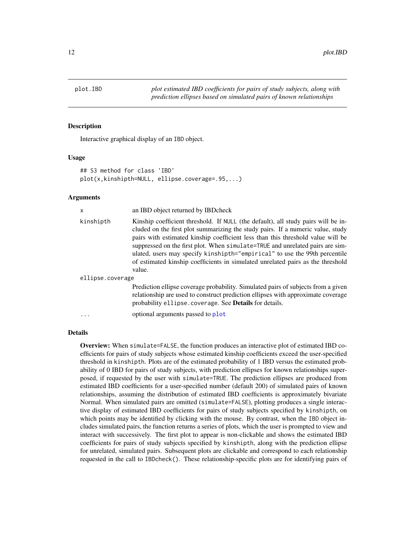<span id="page-11-1"></span><span id="page-11-0"></span>

Interactive graphical display of an IBD object.

### Usage

```
## S3 method for class 'IBD'
plot(x,kinshipth=NULL, ellipse.coverage=.95,...)
```
# **Arguments**

| X                | an IBD object returned by IBD check                                                                                                                                                                                                                                                                                                                                                                                                                                                                                 |
|------------------|---------------------------------------------------------------------------------------------------------------------------------------------------------------------------------------------------------------------------------------------------------------------------------------------------------------------------------------------------------------------------------------------------------------------------------------------------------------------------------------------------------------------|
| kinshipth        | Kinship coefficient threshold. If NULL (the default), all study pairs will be in-<br>cluded on the first plot summarizing the study pairs. If a numeric value, study<br>pairs with estimated kinship coefficient less than this threshold value will be<br>suppressed on the first plot. When simulate=TRUE and unrelated pairs are sim-<br>ulated, users may specify kinshipth="empirical" to use the 99th percentile<br>of estimated kinship coefficients in simulated unrelated pairs as the threshold<br>value. |
| ellipse.coverage |                                                                                                                                                                                                                                                                                                                                                                                                                                                                                                                     |
|                  | Prediction ellipse coverage probability. Simulated pairs of subjects from a given<br>relationship are used to construct prediction ellipses with approximate coverage<br>probability ellipse.coverage. See <b>Details</b> for details.                                                                                                                                                                                                                                                                              |
|                  | optional arguments passed to plot                                                                                                                                                                                                                                                                                                                                                                                                                                                                                   |

#### Details

Overview: When simulate=FALSE, the function produces an interactive plot of estimated IBD coefficients for pairs of study subjects whose estimated kinship coefficients exceed the user-specified threshold in kinshipth. Plots are of the estimated probability of 1 IBD versus the estimated probability of 0 IBD for pairs of study subjects, with prediction ellipses for known relationships superposed, if requested by the user with simulate=TRUE. The prediction ellipses are produced from estimated IBD coefficients for a user-specified number (default 200) of simulated pairs of known relationships, assuming the distribution of estimated IBD coefficients is approximately bivariate Normal. When simulated pairs are omitted (simulate=FALSE), plotting produces a single interactive display of estimated IBD coefficients for pairs of study subjects specified by kinshipth, on which points may be identified by clicking with the mouse. By contrast, when the IBD object includes simulated pairs, the function returns a series of plots, which the user is prompted to view and interact with successively. The first plot to appear is non-clickable and shows the estimated IBD coefficients for pairs of study subjects specified by kinshipth, along with the prediction ellipse for unrelated, simulated pairs. Subsequent plots are clickable and correspond to each relationship requested in the call to IBDcheck(). These relationship-specific plots are for identifying pairs of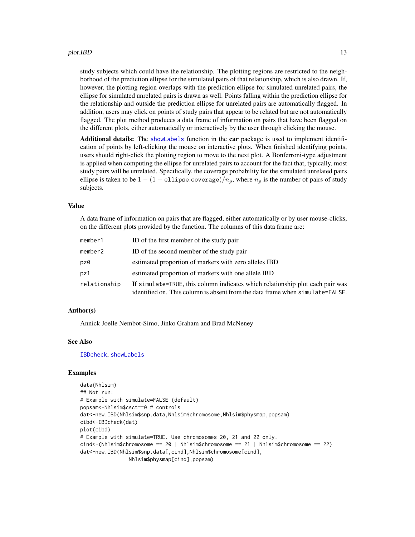<span id="page-12-0"></span>study subjects which could have the relationship. The plotting regions are restricted to the neighborhood of the prediction ellipse for the simulated pairs of that relationship, which is also drawn. If, however, the plotting region overlaps with the prediction ellipse for simulated unrelated pairs, the ellipse for simulated unrelated pairs is drawn as well. Points falling within the prediction ellipse for the relationship and outside the prediction ellipse for unrelated pairs are automatically flagged. In addition, users may click on points of study pairs that appear to be related but are not automatically flagged. The plot method produces a data frame of information on pairs that have been flagged on the different plots, either automatically or interactively by the user through clicking the mouse.

Additional details: The [showLabels](#page-0-0) function in the car package is used to implement identification of points by left-clicking the mouse on interactive plots. When finished identifying points, users should right-click the plotting region to move to the next plot. A Bonferroni-type adjustment is applied when computing the ellipse for unrelated pairs to account for the fact that, typically, most study pairs will be unrelated. Specifically, the coverage probability for the simulated unrelated pairs ellipse is taken to be  $1 - (1 - \text{ellipse.coverage})/n_p$ , where  $n_p$  is the number of pairs of study subjects.

#### Value

A data frame of information on pairs that are flagged, either automatically or by user mouse-clicks, on the different plots provided by the function. The columns of this data frame are:

| member1      | ID of the first member of the study pair                                                                                                                       |
|--------------|----------------------------------------------------------------------------------------------------------------------------------------------------------------|
| member2      | ID of the second member of the study pair                                                                                                                      |
| pz0          | estimated proportion of markers with zero alleles IBD                                                                                                          |
| pz1          | estimated proportion of markers with one allele IBD                                                                                                            |
| relationship | If simulate=TRUE, this column indicates which relationship plot each pair was<br>identified on. This column is absent from the data frame when simulate=FALSE. |

#### Author(s)

Annick Joelle Nembot-Simo, Jinko Graham and Brad McNeney

#### See Also

[IBDcheck](#page-4-1), [showLabels](#page-0-0)

# Examples

```
data(Nhlsim)
## Not run:
# Example with simulate=FALSE (default)
popsam<-Nhlsim$csct==0 # controls
dat<-new.IBD(Nhlsim$snp.data,Nhlsim$chromosome,Nhlsim$physmap,popsam)
cibd<-IBDcheck(dat)
plot(cibd)
# Example with simulate=TRUE. Use chromosomes 20, 21 and 22 only.
cind<-(Nhlsim$chromosome == 20 | Nhlsim$chromosome == 21 | Nhlsim$chromosome == 22)
dat<-new.IBD(Nhlsim$snp.data[,cind],Nhlsim$chromosome[cind],
               Nhlsim$physmap[cind],popsam)
```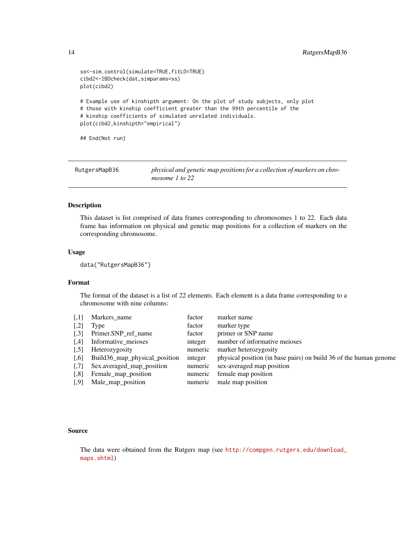```
ss<-sim.control(simulate=TRUE,fitLD=TRUE)
cibd2<-IBDcheck(dat,simparams=ss)
plot(cibd2)
# Example use of kinshipth argument: On the plot of study subjects, only plot
# those with kinship coefficient greater than the 99th percentile of the
# kinship coefficients of simulated unrelated individuals.
plot(cibd2,kinshipth="empirical")
## End(Not run)
```
<span id="page-13-1"></span>

| RutgersMapB36 | physical and genetic map positions for a collection of markers on chro- |
|---------------|-------------------------------------------------------------------------|
|               | mosome 1 to 22                                                          |

This dataset is list comprised of data frames corresponding to chromosomes 1 to 22. Each data frame has information on physical and genetic map positions for a collection of markers on the corresponding chromosome.

# Usage

data("RutgersMapB36")

### Format

The format of the dataset is a list of 22 elements. Each element is a data frame corresponding to a chromosome with nine columns:

| $\left\lceil,1\right\rceil$   | Markers_name                       | factor  | marker name                                                               |
|-------------------------------|------------------------------------|---------|---------------------------------------------------------------------------|
| $\left\lceil .2 \right\rceil$ | Type                               | factor  | marker type                                                               |
|                               | [,3] Primer.SNP_ref_name           | factor  | primer or SNP name                                                        |
| $\left[ 1,4\right]$           | Informative_meioses                | integer | number of informative meioses                                             |
| 51                            | Heterozygosity                     | numeric | marker heterozygosity                                                     |
|                               | [,6] Build36_map_physical_position |         | integer physical position (in base pairs) on build 36 of the human genome |
| $\left[ 7\right]$             | Sex.averaged_map_position          | numeric | sex-averaged map position                                                 |
| $\left[ .8 \right]$           | Female_map_position                |         | numeric female map position                                               |
| $\left[ .9\right]$            | Male_map_position                  |         | numeric male map position                                                 |
|                               |                                    |         |                                                                           |

#### Source

The data were obtained from the Rutgers map (see [http://compgen.rutgers.edu/download\\_](http://compgen.rutgers.edu/download_maps.shtml) [maps.shtml](http://compgen.rutgers.edu/download_maps.shtml))

<span id="page-13-0"></span>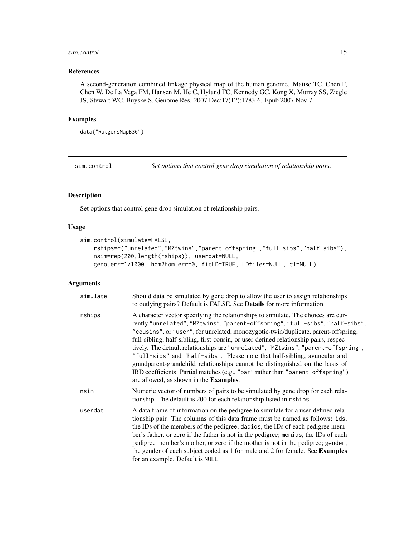#### <span id="page-14-0"></span>sim.control 15

# References

A second-generation combined linkage physical map of the human genome. Matise TC, Chen F, Chen W, De La Vega FM, Hansen M, He C, Hyland FC, Kennedy GC, Kong X, Murray SS, Ziegle JS, Stewart WC, Buyske S. Genome Res. 2007 Dec;17(12):1783-6. Epub 2007 Nov 7.

# Examples

```
data("RutgersMapB36")
```
<span id="page-14-1"></span>sim.control *Set options that control gene drop simulation of relationship pairs.*

# Description

Set options that control gene drop simulation of relationship pairs.

# Usage

```
sim.control(simulate=FALSE,
   rships=c("unrelated","MZtwins","parent-offspring","full-sibs","half-sibs"),
   nsim=rep(200,length(rships)), userdat=NULL,
   geno.err=1/1000, hom2hom.err=0, fitLD=TRUE, LDfiles=NULL, cl=NULL)
```

| simulate | Should data be simulated by gene drop to allow the user to assign relationships<br>to outlying pairs? Default is FALSE. See Details for more information.                                                                                                                                                                                                                                                                                                                                                                                                                                                                                                                                                                      |
|----------|--------------------------------------------------------------------------------------------------------------------------------------------------------------------------------------------------------------------------------------------------------------------------------------------------------------------------------------------------------------------------------------------------------------------------------------------------------------------------------------------------------------------------------------------------------------------------------------------------------------------------------------------------------------------------------------------------------------------------------|
| rships   | A character vector specifying the relationships to simulate. The choices are cur-<br>rently "unrelated", "MZtwins", "parent-offspring", "full-sibs", "half-sibs",<br>"cousins", or "user", for unrelated, monozygotic-twin/duplicate, parent-offspring,<br>full-sibling, half-sibling, first-cousin, or user-defined relationship pairs, respec-<br>tively. The default relationships are "unrelated", "MZtwins", "parent-offspring",<br>"full-sibs" and "half-sibs". Please note that half-sibling, avuncular and<br>grandparent-grandchild relationships cannot be distinguished on the basis of<br>IBD coefficients. Partial matches (e.g., "par" rather than "parent-offspring")<br>are allowed, as shown in the Examples. |
| nsim     | Numeric vector of numbers of pairs to be simulated by gene drop for each rela-<br>tionship. The default is 200 for each relationship listed in rships.                                                                                                                                                                                                                                                                                                                                                                                                                                                                                                                                                                         |
| userdat  | A data frame of information on the pedigree to simulate for a user-defined rela-<br>tionship pair. The columns of this data frame must be named as follows: ids,<br>the IDs of the members of the pedigree; dadids, the IDs of each pedigree mem-<br>ber's father, or zero if the father is not in the pedigree; momids, the IDs of each<br>pedigree member's mother, or zero if the mother is not in the pedigree; gender,<br>the gender of each subject coded as 1 for male and 2 for female. See Examples<br>for an example. Default is NULL.                                                                                                                                                                               |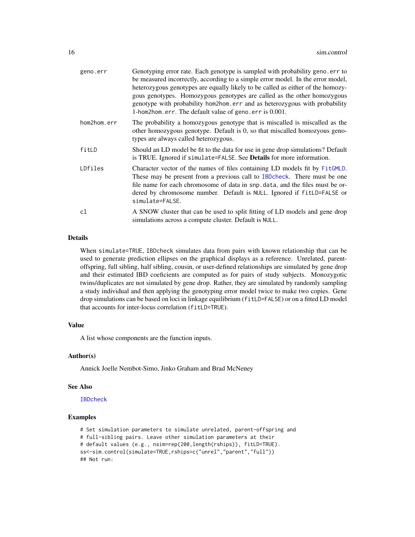<span id="page-15-0"></span>

| geno.err    | Genotyping error rate. Each genotype is sampled with probability geno.err to<br>be measured incorrectly, according to a simple error model. In the error model,<br>heterozygous genotypes are equally likely to be called as either of the homozy-<br>gous genotypes. Homozygous genotypes are called as the other homozygous<br>genotype with probability hom2hom. err and as heterozygous with probability<br>1-hom2hom.err. The default value of geno.err is 0.001. |
|-------------|------------------------------------------------------------------------------------------------------------------------------------------------------------------------------------------------------------------------------------------------------------------------------------------------------------------------------------------------------------------------------------------------------------------------------------------------------------------------|
| hom2hom.err | The probability a homozygous genotype that is miscalled is miscalled as the<br>other homozygous genotype. Default is 0, so that miscalled homozyous geno-<br>types are always called heterozygous.                                                                                                                                                                                                                                                                     |
| fitLD       | Should an LD model be fit to the data for use in gene drop simulations? Default<br>is TRUE. Ignored if simulate=FALSE. See Details for more information.                                                                                                                                                                                                                                                                                                               |
| LDfiles     | Character vector of the names of files containing LD models fit by FitGMLD.<br>These may be present from a previous call to IBDcheck. There must be one<br>file name for each chromosome of data in snp. data, and the files must be or-<br>dered by chromosome number. Default is NULL. Ignored if fitLD=FALSE or<br>simulate=FALSE.                                                                                                                                  |
| cl          | A SNOW cluster that can be used to split fitting of LD models and gene drop<br>simulations across a compute cluster. Default is NULL.                                                                                                                                                                                                                                                                                                                                  |

# Details

When simulate=TRUE, IBDcheck simulates data from pairs with known relationship that can be used to generate prediction ellipses on the graphical displays as a reference. Unrelated, parentoffspring, full sibling, half sibling, cousin, or user-defined relationships are simulated by gene drop and their estimated IBD coeficients are computed as for pairs of study subjects. Monozygotic twins/duplicates are not simulated by gene drop. Rather, they are simulated by randomly sampling a study individual and then applying the genotyping error model twice to make two copies. Gene drop simulations can be based on loci in linkage equilibrium (fitLD=FALSE) or on a fitted LD model that accounts for inter-locus correlation (fitLD=TRUE).

### Value

A list whose components are the function inputs.

# Author(s)

Annick Joelle Nembot-Simo, Jinko Graham and Brad McNeney

#### See Also

[IBDcheck](#page-4-1)

# Examples

# Set simulation parameters to simulate unrelated, parent-offspring and # full-sibling pairs. Leave other simulation parameters at their # default values (e.g., nsim=rep(200,length(rships)), fitLD=TRUE). ss<-sim.control(simulate=TRUE,rships=c("unrel","parent","full")) ## Not run: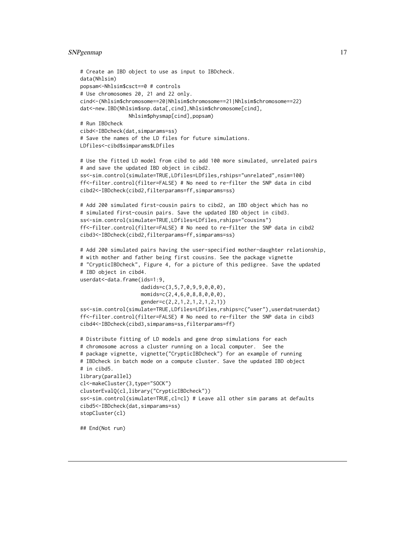# <span id="page-16-0"></span>SNPgenmap 17

```
# Create an IBD object to use as input to IBDcheck.
data(Nhlsim)
popsam<-Nhlsim$csct==0 # controls
# Use chromosomes 20, 21 and 22 only.
cind<-(Nhlsim$chromosome==20|Nhlsim$chromosome==21|Nhlsim$chromosome==22)
dat<-new.IBD(Nhlsim$snp.data[,cind],Nhlsim$chromosome[cind],
                Nhlsim$physmap[cind],popsam)
# Run IBDcheck
cibd<-IBDcheck(dat,simparams=ss)
# Save the names of the LD files for future simulations.
LDfiles<-cibd$simparams$LDfiles
# Use the fitted LD model from cibd to add 100 more simulated, unrelated pairs
# and save the updated IBD object in cibd2.
ss<-sim.control(simulate=TRUE,LDfiles=LDfiles,rships="unrelated",nsim=100)
ff<-filter.control(filter=FALSE) # No need to re-filter the SNP data in cibd
cibd2<-IBDcheck(cibd2,filterparams=ff,simparams=ss)
# Add 200 simulated first-cousin pairs to cibd2, an IBD object which has no
# simulated first-cousin pairs. Save the updated IBD object in cibd3.
ss<-sim.control(simulate=TRUE,LDfiles=LDfiles,rships="cousins")
ff<-filter.control(filter=FALSE) # No need to re-filter the SNP data in cibd2
cibd3<-IBDcheck(cibd2,filterparams=ff,simparams=ss)
# Add 200 simulated pairs having the user-specified mother-daughter relationship,
# with mother and father being first cousins. See the package vignette
# "CrypticIBDcheck", Figure 4, for a picture of this pedigree. Save the updated
# IBD object in cibd4.
userdat<-data.frame(ids=1:9,
                    dadids=c(3,5,7,0,9,9,0,0,0),
                    momids=c(2,4,6,0,8,8,0,0,0),
                    gender=c(2,2,1,2,1,2,1,2,1))
ss<-sim.control(simulate=TRUE,LDfiles=LDfiles,rships=c("user"),userdat=userdat)
ff<-filter.control(filter=FALSE) # No need to re-filter the SNP data in cibd3
cibd4<-IBDcheck(cibd3,simparams=ss,filterparams=ff)
# Distribute fitting of LD models and gene drop simulations for each
# chromosome across a cluster running on a local computer. See the
# package vignette, vignette("CrypticIBDcheck") for an example of running
# IBDcheck in batch mode on a compute cluster. Save the updated IBD object
# in cibd5.
library(parallel)
cl<-makeCluster(3,type="SOCK")
clusterEvalQ(cl,library("CrypticIBDcheck"))
ss<-sim.control(simulate=TRUE,cl=cl) # Leave all other sim params at defaults
cibd5<-IBDcheck(dat,simparams=ss)
stopCluster(cl)
```
<span id="page-16-1"></span>## End(Not run)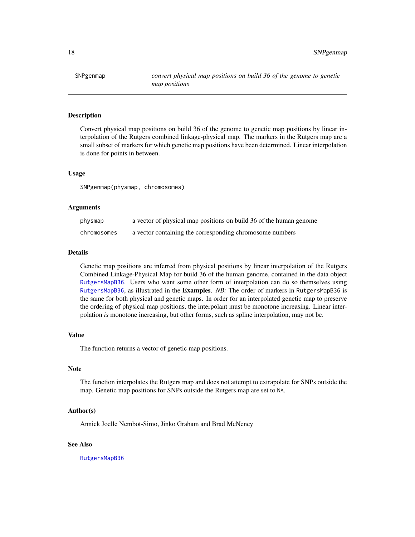<span id="page-17-0"></span>Convert physical map positions on build 36 of the genome to genetic map positions by linear interpolation of the Rutgers combined linkage-physical map. The markers in the Rutgers map are a small subset of markers for which genetic map positions have been determined. Linear interpolation is done for points in between.

### Usage

SNPgenmap(physmap, chromosomes)

#### Arguments

| physmap     | a vector of physical map positions on build 36 of the human genome |
|-------------|--------------------------------------------------------------------|
| chromosomes | a vector containing the corresponding chromosome numbers           |

#### Details

Genetic map positions are inferred from physical positions by linear interpolation of the Rutgers Combined Linkage-Physical Map for build 36 of the human genome, contained in the data object [RutgersMapB36](#page-13-1). Users who want some other form of interpolation can do so themselves using [RutgersMapB36](#page-13-1), as illustrated in the Examples. *NB:* The order of markers in RutgersMapB36 is the same for both physical and genetic maps. In order for an interpolated genetic map to preserve the ordering of physical map positions, the interpolant must be monotone increasing. Linear interpolation *is* monotone increasing, but other forms, such as spline interpolation, may not be.

# Value

The function returns a vector of genetic map positions.

# **Note**

The function interpolates the Rutgers map and does not attempt to extrapolate for SNPs outside the map. Genetic map positions for SNPs outside the Rutgers map are set to NA.

# Author(s)

Annick Joelle Nembot-Simo, Jinko Graham and Brad McNeney

# See Also

[RutgersMapB36](#page-13-1)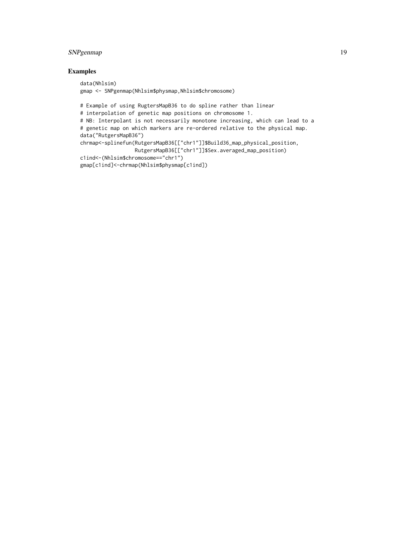# SNPgenmap 19

# Examples

```
data(Nhlsim)
gmap <- SNPgenmap(Nhlsim$physmap,Nhlsim$chromosome)
# Example of using RugtersMapB36 to do spline rather than linear
# interpolation of genetic map positions on chromosome 1.
# NB: Interpolant is not necessarily monotone increasing, which can lead to a
# genetic map on which markers are re-ordered relative to the physical map.
data("RutgersMapB36")
chrmap<-splinefun(RutgersMapB36[["chr1"]]$Build36_map_physical_position,
                  RutgersMapB36[["chr1"]]$Sex.averaged_map_position)
c1ind<-(Nhlsim$chromosome=="chr1")
gmap[c1ind]<-chrmap(Nhlsim$physmap[c1ind])
```